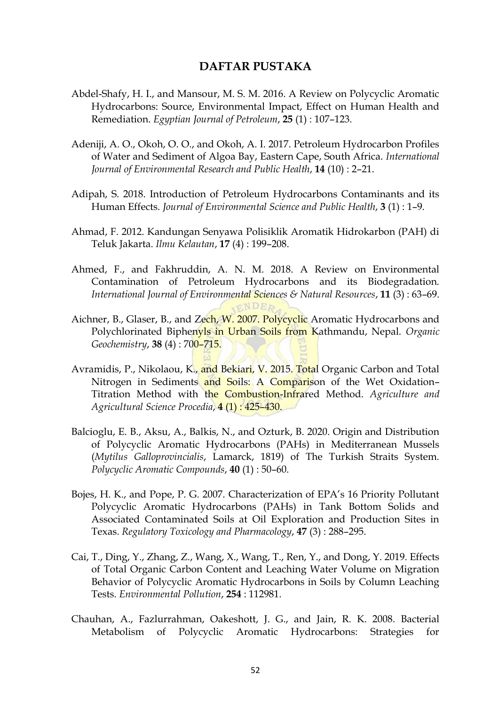## **DAFTAR PUSTAKA**

- Abdel-Shafy, H. I., and Mansour, M. S. M. 2016. A Review on Polycyclic Aromatic Hydrocarbons: Source, Environmental Impact, Effect on Human Health and Remediation. *Egyptian Journal of Petroleum*, **25** (1) : 107–123.
- Adeniji, A. O., Okoh, O. O., and Okoh, A. I. 2017. Petroleum Hydrocarbon Profiles of Water and Sediment of Algoa Bay, Eastern Cape, South Africa. *International Journal of Environmental Research and Public Health*, **14** (10) : 2–21.
- Adipah, S. 2018. Introduction of Petroleum Hydrocarbons Contaminants and its Human Effects. *Journal of Environmental Science and Public Health*, **3** (1) : 1–9.
- Ahmad, F. 2012. Kandungan Senyawa Polisiklik Aromatik Hidrokarbon (PAH) di Teluk Jakarta. *Ilmu Kelautan*, **17** (4) : 199–208.
- Ahmed, F., and Fakhruddin, A. N. M. 2018. A Review on Environmental Contamination of Petroleum Hydrocarbons and its Biodegradation. *International Journal of Environmental Sciences & Natural Resources*, **11** (3) : 63–69. ENDER
- Aichner, B., Glaser, B., and Zech, W. 2007. Polycyclic Aromatic Hydrocarbons and Polychlorinated Biphenyls in Urban Soils from Kathmandu, Nepal. *Organic Geochemistry*, **38** (4) : 700–715.
- Avramidis, P., Nikolaou, K., and Bekiari, V. 2015. Total Organic Carbon and Total Nitrogen in Sediments and Soils: A Comparison of the Wet Oxidation-Titration Method with the Combustion-Infrared Method. *Agriculture and Agricultural Science Procedia*, **4** (1) : 425–430.
- Balcioglu, E. B., Aksu, A., Balkis, N., and Ozturk, B. 2020. Origin and Distribution of Polycyclic Aromatic Hydrocarbons (PAHs) in Mediterranean Mussels (*Mytilus Galloprovincialis*, Lamarck, 1819) of The Turkish Straits System. *Polycyclic Aromatic Compounds*, **40** (1) : 50–60.
- Bojes, H. K., and Pope, P. G. 2007. Characterization of EPA's 16 Priority Pollutant Polycyclic Aromatic Hydrocarbons (PAHs) in Tank Bottom Solids and Associated Contaminated Soils at Oil Exploration and Production Sites in Texas. *Regulatory Toxicology and Pharmacology*, **47** (3) : 288–295.
- Cai, T., Ding, Y., Zhang, Z., Wang, X., Wang, T., Ren, Y., and Dong, Y. 2019. Effects of Total Organic Carbon Content and Leaching Water Volume on Migration Behavior of Polycyclic Aromatic Hydrocarbons in Soils by Column Leaching Tests. *Environmental Pollution*, **254** : 112981.
- Chauhan, A., Fazlurrahman, Oakeshott, J. G., and Jain, R. K. 2008. Bacterial Metabolism of Polycyclic Aromatic Hydrocarbons: Strategies for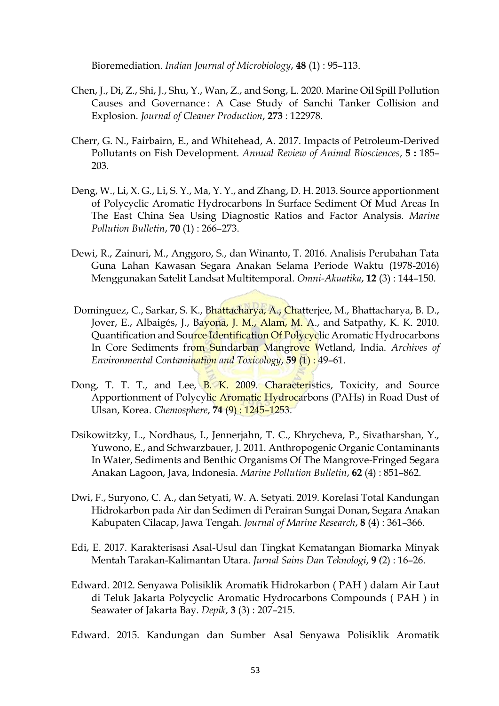Bioremediation. *Indian Journal of Microbiology*, **48** (1) : 95–113.

- Chen, J., Di, Z., Shi, J., Shu, Y., Wan, Z., and Song, L. 2020. Marine Oil Spill Pollution Causes and Governance : A Case Study of Sanchi Tanker Collision and Explosion. *Journal of Cleaner Production*, **273** : 122978.
- Cherr, G. N., Fairbairn, E., and Whitehead, A. 2017. Impacts of Petroleum-Derived Pollutants on Fish Development. *Annual Review of Animal Biosciences*, **5 :** 185– 203.
- Deng, W., Li, X. G., Li, S. Y., Ma, Y. Y., and Zhang, D. H. 2013. Source apportionment of Polycyclic Aromatic Hydrocarbons In Surface Sediment Of Mud Areas In The East China Sea Using Diagnostic Ratios and Factor Analysis. *Marine Pollution Bulletin*, **70** (1) : 266–273.
- Dewi, R., Zainuri, M., Anggoro, S., dan Winanto, T. 2016. Analisis Perubahan Tata Guna Lahan Kawasan Segara Anakan Selama Periode Waktu (1978-2016) Menggunakan Satelit Landsat Multitemporal. *Omni-Akuatika*, **12** (3) : 144–150.
- Dominguez, C., Sarkar, S. K., Bhattacharya, A., Chatterjee, M., Bhattacharya, B. D., Jover, E., Albaigés, J., Bayona, J. M., Alam, M. A., and Satpathy, K. K. 2010. Quantification and Source Identification Of Polycyclic Aromatic Hydrocarbons In Core Sediments from Sundarban Mangrove Wetland, India. *Archives of Environmental Contamination and Toxicology*, **59** (1) : 49–61.
- Dong, T. T. T., and Lee, B. K. 2009. Characteristics, Toxicity, and Source Apportionment of Polycylic Aromatic Hydrocarbons (PAHs) in Road Dust of Ulsan, Korea. *Chemosphere*, **74** (9) : 1245–1253.
- Dsikowitzky, L., Nordhaus, I., Jennerjahn, T. C., Khrycheva, P., Sivatharshan, Y., Yuwono, E., and Schwarzbauer, J. 2011. Anthropogenic Organic Contaminants In Water, Sediments and Benthic Organisms Of The Mangrove-Fringed Segara Anakan Lagoon, Java, Indonesia. *Marine Pollution Bulletin*, **62** (4) : 851–862.
- Dwi, F., Suryono, C. A., dan Setyati, W. A. Setyati. 2019. Korelasi Total Kandungan Hidrokarbon pada Air dan Sedimen di Perairan Sungai Donan, Segara Anakan Kabupaten Cilacap, Jawa Tengah. *Journal of Marine Research*, **8** (4) : 361–366.
- Edi, E. 2017. Karakterisasi Asal-Usul dan Tingkat Kematangan Biomarka Minyak Mentah Tarakan-Kalimantan Utara. *Jurnal Sains Dan Teknologi*, **9** *(*2) : 16–26.
- Edward. 2012. Senyawa Polisiklik Aromatik Hidrokarbon ( PAH ) dalam Air Laut di Teluk Jakarta Polycyclic Aromatic Hydrocarbons Compounds ( PAH ) in Seawater of Jakarta Bay. *Depik*, **3** (3) : 207–215.

Edward. 2015. Kandungan dan Sumber Asal Senyawa Polisiklik Aromatik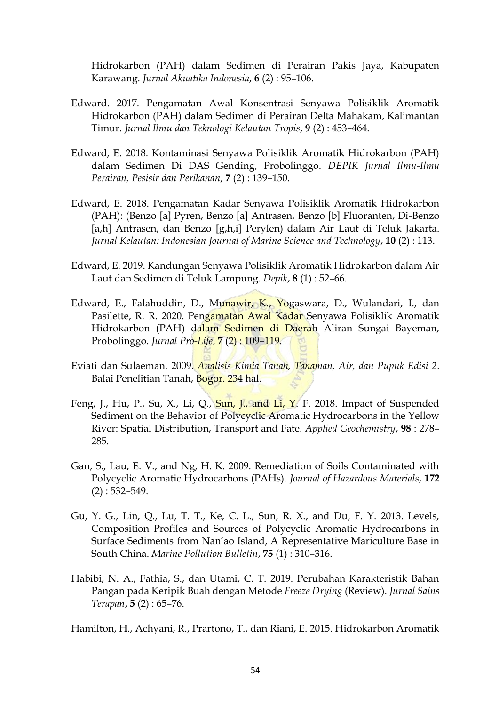Hidrokarbon (PAH) dalam Sedimen di Perairan Pakis Jaya, Kabupaten Karawang. *Jurnal Akuatika Indonesia*, **6** (2) : 95–106.

- Edward. 2017. Pengamatan Awal Konsentrasi Senyawa Polisiklik Aromatik Hidrokarbon (PAH) dalam Sedimen di Perairan Delta Mahakam, Kalimantan Timur. *Jurnal Ilmu dan Teknologi Kelautan Tropis*, **9** (2) : 453–464.
- Edward, E. 2018. Kontaminasi Senyawa Polisiklik Aromatik Hidrokarbon (PAH) dalam Sedimen Di DAS Gending, Probolinggo. *DEPIK Jurnal Ilmu-Ilmu Perairan, Pesisir dan Perikanan*, **7** (2) : 139–150.
- Edward, E. 2018. Pengamatan Kadar Senyawa Polisiklik Aromatik Hidrokarbon (PAH): (Benzo [a] Pyren, Benzo [a] Antrasen, Benzo [b] Fluoranten, Di-Benzo [a,h] Antrasen, dan Benzo [g,h,i] Perylen) dalam Air Laut di Teluk Jakarta. *Jurnal Kelautan: Indonesian Journal of Marine Science and Technology*, **10** (2) : 113.
- Edward, E. 2019. Kandungan Senyawa Polisiklik Aromatik Hidrokarbon dalam Air Laut dan Sedimen di Teluk Lampung. *Depik*, **8** (1) : 52–66.
- Edward, E., Falahuddin, D., Munawir, K., Yogaswara, D., Wulandari, I., dan Pasilette, R. R. 2020. Pengamatan Awal Kadar Senyawa Polisiklik Aromatik Hidrokarbon (PAH) dalam Sedimen di Daerah Aliran Sungai Bayeman, Probolinggo. *Jurnal Pro-Life*, **7** (2) : 109–119.
- Eviati dan Sulaeman. 2009. *Analisis Kimia Tanah, Tanaman, Air, dan Pupuk Edisi 2*. Balai Penelitian Tanah, Bogor. 234 hal.
- Feng, J., Hu, P., Su, X., Li, Q., Sun, J., and Li, Y. F. 2018. Impact of Suspended Sediment on the Behavior of Polycyclic Aromatic Hydrocarbons in the Yellow River: Spatial Distribution, Transport and Fate. *Applied Geochemistry*, **98** : 278– 285.
- Gan, S., Lau, E. V., and Ng, H. K. 2009. Remediation of Soils Contaminated with Polycyclic Aromatic Hydrocarbons (PAHs). *Journal of Hazardous Materials*, **172**   $(2) : 532 - 549.$
- Gu, Y. G., Lin, Q., Lu, T. T., Ke, C. L., Sun, R. X., and Du, F. Y. 2013. Levels, Composition Profiles and Sources of Polycyclic Aromatic Hydrocarbons in Surface Sediments from Nan'ao Island, A Representative Mariculture Base in South China. *Marine Pollution Bulletin*, **75** (1) : 310–316.
- Habibi, N. A., Fathia, S., dan Utami, C. T. 2019. Perubahan Karakteristik Bahan Pangan pada Keripik Buah dengan Metode *Freeze Drying* (Review). *Jurnal Sains Terapan*, **5** (2) : 65–76.

Hamilton, H., Achyani, R., Prartono, T., dan Riani, E. 2015. Hidrokarbon Aromatik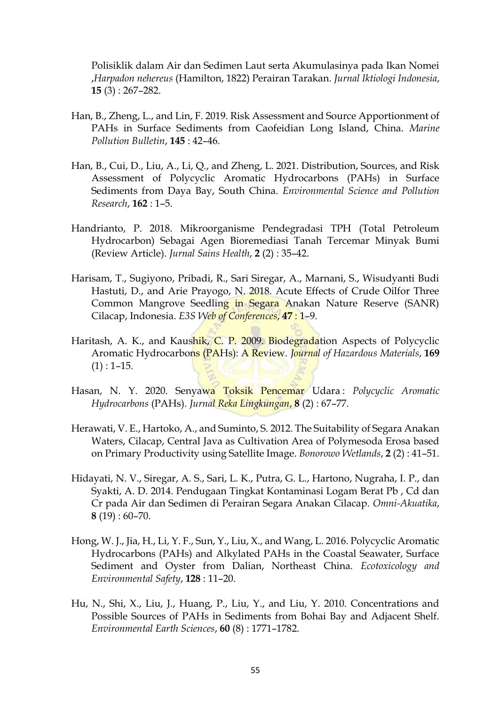Polisiklik dalam Air dan Sedimen Laut serta Akumulasinya pada Ikan Nomei ,*Harpadon nehereus* (Hamilton, 1822) Perairan Tarakan. *Jurnal Iktiologi Indonesia*, **15** (3) : 267–282.

- Han, B., Zheng, L., and Lin, F. 2019. Risk Assessment and Source Apportionment of PAHs in Surface Sediments from Caofeidian Long Island, China. *Marine Pollution Bulletin*, **145** : 42–46.
- Han, B., Cui, D., Liu, A., Li, Q., and Zheng, L. 2021. Distribution, Sources, and Risk Assessment of Polycyclic Aromatic Hydrocarbons (PAHs) in Surface Sediments from Daya Bay, South China. *Environmental Science and Pollution Research*, **162** : 1–5.
- Handrianto, P. 2018. Mikroorganisme Pendegradasi TPH (Total Petroleum Hydrocarbon) Sebagai Agen Bioremediasi Tanah Tercemar Minyak Bumi (Review Article). *Jurnal Sains Health*, **2** (2) : 35–42.
- Harisam, T., Sugiyono, Pribadi, R., Sari Siregar, A., Marnani, S., Wisudyanti Budi Hastuti, D., and Arie Prayogo, N. 2018. Acute Effects of Crude Oilfor Three Common Mangrove Seedling in Segara Anakan Nature Reserve (SANR) Cilacap, Indonesia. *E3S Web of Conferences*, **47** : 1–9.
- Haritash, A. K., and Kaushik, C. P. 2009. Biodegradation Aspects of Polycyclic Aromatic Hydrocarbons (PAHs): A Review. *Journal of Hazardous Materials*, **169**  $(1) : 1-15.$
- Hasan, N. Y. 2020. Senyawa Toksik Pencemar Udara : *Polycyclic Aromatic Hydrocarbons* (PAHs). *Jurnal Reka Lingkungan*, **8** (2) : 67–77.
- Herawati, V. E., Hartoko, A., and Suminto, S. 2012. The Suitability of Segara Anakan Waters, Cilacap, Central Java as Cultivation Area of Polymesoda Erosa based on Primary Productivity using Satellite Image. *Bonorowo Wetlands*, **2** (2) : 41–51.
- Hidayati, N. V., Siregar, A. S., Sari, L. K., Putra, G. L., Hartono, Nugraha, I. P., dan Syakti, A. D. 2014. Pendugaan Tingkat Kontaminasi Logam Berat Pb , Cd dan Cr pada Air dan Sedimen di Perairan Segara Anakan Cilacap. *Omni-Akuatika*, **8** (19) : 60–70.
- Hong, W. J., Jia, H., Li, Y. F., Sun, Y., Liu, X., and Wang, L. 2016. Polycyclic Aromatic Hydrocarbons (PAHs) and Alkylated PAHs in the Coastal Seawater, Surface Sediment and Oyster from Dalian, Northeast China. *Ecotoxicology and Environmental Safety*, **128** : 11–20.
- Hu, N., Shi, X., Liu, J., Huang, P., Liu, Y., and Liu, Y. 2010. Concentrations and Possible Sources of PAHs in Sediments from Bohai Bay and Adjacent Shelf. *Environmental Earth Sciences*, **60** (8) : 1771–1782.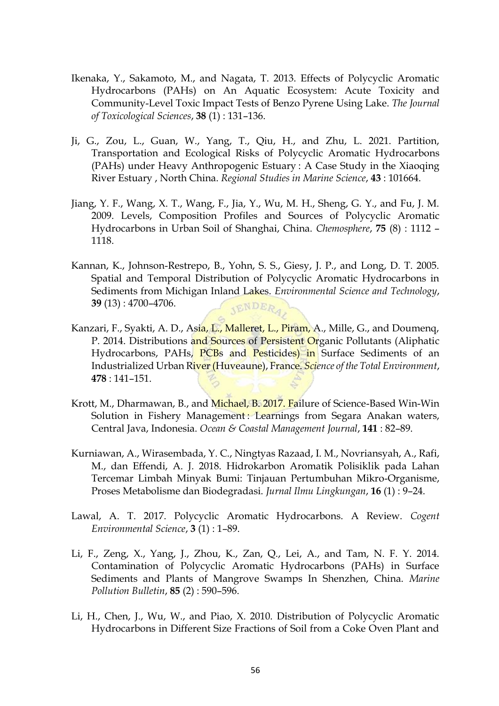- Ikenaka, Y., Sakamoto, M., and Nagata, T. 2013. Effects of Polycyclic Aromatic Hydrocarbons (PAHs) on An Aquatic Ecosystem: Acute Toxicity and Community-Level Toxic Impact Tests of Benzo Pyrene Using Lake. *The Journal of Toxicological Sciences*, **38** (1) : 131–136.
- Ji, G., Zou, L., Guan, W., Yang, T., Qiu, H., and Zhu, L. 2021. Partition, Transportation and Ecological Risks of Polycyclic Aromatic Hydrocarbons (PAHs) under Heavy Anthropogenic Estuary : A Case Study in the Xiaoqing River Estuary , North China. *Regional Studies in Marine Science*, **43** : 101664.
- Jiang, Y. F., Wang, X. T., Wang, F., Jia, Y., Wu, M. H., Sheng, G. Y., and Fu, J. M. 2009. Levels, Composition Profiles and Sources of Polycyclic Aromatic Hydrocarbons in Urban Soil of Shanghai, China. *Chemosphere*, **75** (8) : 1112 – 1118.
- Kannan, K., Johnson-Restrepo, B., Yohn, S. S., Giesy, J. P., and Long, D. T. 2005. Spatial and Temporal Distribution of Polycyclic Aromatic Hydrocarbons in Sediments from Michigan Inland Lakes. *Environmental Science and Technology*, **39** (13) : 4700–4706. **JENDERA**
- Kanzari, F., Syakti, A. D., Asia, L., Malleret, L., Piram, A., Mille, G., and Doumenq, P. 2014. Distributions and Sources of Persistent Organic Pollutants (Aliphatic Hydrocarbons, PAHs, PCBs and Pesticides) in Surface Sediments of an Industrialized Urban River (Huveaune), France. *Science of the Total Environment*, **478** : 141–151.
- Krott, M., Dharmawan, B., and Michael, B. 2017. Failure of Science-Based Win-Win Solution in Fishery Management: Learnings from Segara Anakan waters, Central Java, Indonesia. *Ocean & Coastal Management Journal*, **141** : 82–89.
- Kurniawan, A., Wirasembada, Y. C., Ningtyas Razaad, I. M., Novriansyah, A., Rafi, M., dan Effendi, A. J. 2018. Hidrokarbon Aromatik Polisiklik pada Lahan Tercemar Limbah Minyak Bumi: Tinjauan Pertumbuhan Mikro-Organisme, Proses Metabolisme dan Biodegradasi. *Jurnal Ilmu Lingkungan*, **16** (1) : 9–24.
- Lawal, A. T. 2017. Polycyclic Aromatic Hydrocarbons. A Review. *Cogent Environmental Science*, **3** (1) : 1–89.
- Li, F., Zeng, X., Yang, J., Zhou, K., Zan, Q., Lei, A., and Tam, N. F. Y. 2014. Contamination of Polycyclic Aromatic Hydrocarbons (PAHs) in Surface Sediments and Plants of Mangrove Swamps In Shenzhen, China. *Marine Pollution Bulletin*, **85** (2) : 590–596.
- Li, H., Chen, J., Wu, W., and Piao, X. 2010. Distribution of Polycyclic Aromatic Hydrocarbons in Different Size Fractions of Soil from a Coke Oven Plant and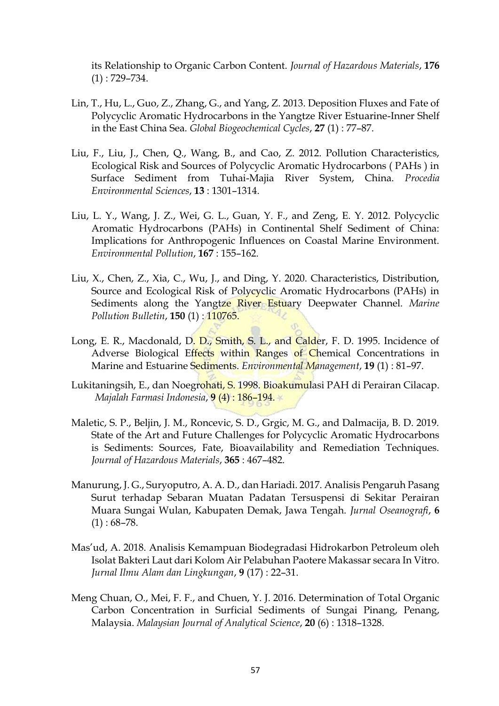its Relationship to Organic Carbon Content. *Journal of Hazardous Materials*, **176**  (1) : 729–734.

- Lin, T., Hu, L., Guo, Z., Zhang, G., and Yang, Z. 2013. Deposition Fluxes and Fate of Polycyclic Aromatic Hydrocarbons in the Yangtze River Estuarine-Inner Shelf in the East China Sea. *Global Biogeochemical Cycles*, **27** (1) : 77–87.
- Liu, F., Liu, J., Chen, Q., Wang, B., and Cao, Z. 2012. Pollution Characteristics, Ecological Risk and Sources of Polycyclic Aromatic Hydrocarbons ( PAHs ) in Surface Sediment from Tuhai-Majia River System, China. *Procedia Environmental Sciences*, **13** : 1301–1314.
- Liu, L. Y., Wang, J. Z., Wei, G. L., Guan, Y. F., and Zeng, E. Y. 2012. Polycyclic Aromatic Hydrocarbons (PAHs) in Continental Shelf Sediment of China: Implications for Anthropogenic Influences on Coastal Marine Environment. *Environmental Pollution*, **167** : 155–162.
- Liu, X., Chen, Z., Xia, C., Wu, J., and Ding, Y. 2020. Characteristics, Distribution, Source and Ecological Risk of Polycyclic Aromatic Hydrocarbons (PAHs) in Sediments along the Yangtze River Estuary Deepwater Channel. *Marine Pollution Bulletin*, **150** (1) : 110765.
- Long, E. R., Macdonald, D. D., Smith, S. L., and Calder, F. D. 1995. Incidence of Adverse Biological Effects within Ranges of Chemical Concentrations in Marine and Estuarine Sediments. *Environmental Management*, **19** (1) : 81–97.
- Lukitaningsih, E., dan Noegrohati, S. 1998. Bioakumulasi PAH di Perairan Cilacap. *Majalah Farmasi Indonesia*, **9** (4) : 186–194.
- Maletic, S. P., Beljin, J. M., Roncevic, S. D., Grgic, M. G., and Dalmacija, B. D. 2019. State of the Art and Future Challenges for Polycyclic Aromatic Hydrocarbons is Sediments: Sources, Fate, Bioavailability and Remediation Techniques. *Journal of Hazardous Materials*, **365** : 467–482.
- Manurung, J. G., Suryoputro, A. A. D., dan Hariadi. 2017. Analisis Pengaruh Pasang Surut terhadap Sebaran Muatan Padatan Tersuspensi di Sekitar Perairan Muara Sungai Wulan, Kabupaten Demak, Jawa Tengah. *Jurnal Oseanografi*, **6**   $(1): 68-78.$
- Mas'ud, A. 2018. Analisis Kemampuan Biodegradasi Hidrokarbon Petroleum oleh Isolat Bakteri Laut dari Kolom Air Pelabuhan Paotere Makassar secara In Vitro. *Jurnal Ilmu Alam dan Lingkungan*, **9** (17) : 22–31.
- Meng Chuan, O., Mei, F. F., and Chuen, Y. J. 2016. Determination of Total Organic Carbon Concentration in Surficial Sediments of Sungai Pinang, Penang, Malaysia. *Malaysian Journal of Analytical Science*, **20** (6) : 1318–1328.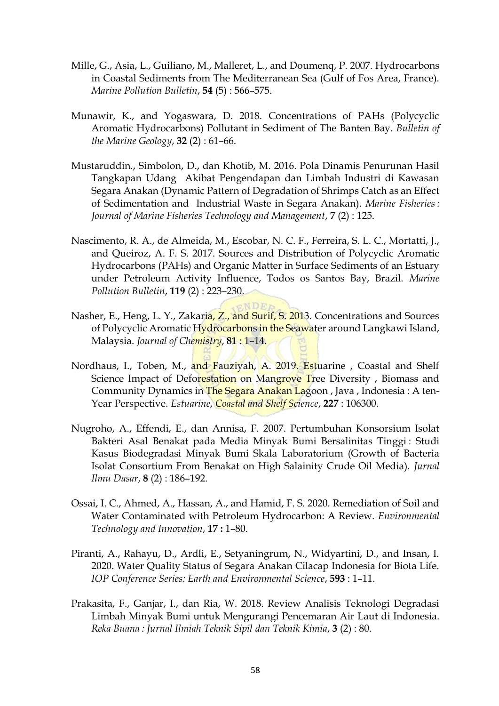- Mille, G., Asia, L., Guiliano, M., Malleret, L., and Doumenq, P. 2007. Hydrocarbons in Coastal Sediments from The Mediterranean Sea (Gulf of Fos Area, France). *Marine Pollution Bulletin*, **54** (5) : 566–575.
- Munawir, K., and Yogaswara, D. 2018. Concentrations of PAHs (Polycyclic Aromatic Hydrocarbons) Pollutant in Sediment of The Banten Bay. *Bulletin of the Marine Geology*, **32** (2) : 61–66.
- Mustaruddin., Simbolon, D., dan Khotib, M. 2016. Pola Dinamis Penurunan Hasil Tangkapan Udang Akibat Pengendapan dan Limbah Industri di Kawasan Segara Anakan (Dynamic Pattern of Degradation of Shrimps Catch as an Effect of Sedimentation and Industrial Waste in Segara Anakan). *Marine Fisheries : Journal of Marine Fisheries Technology and Management*, **7** (2) : 125.
- Nascimento, R. A., de Almeida, M., Escobar, N. C. F., Ferreira, S. L. C., Mortatti, J., and Queiroz, A. F. S. 2017. Sources and Distribution of Polycyclic Aromatic Hydrocarbons (PAHs) and Organic Matter in Surface Sediments of an Estuary under Petroleum Activity Influence, Todos os Santos Bay, Brazil. *Marine Pollution Bulletin*, **119** (2) : 223–230.
- Nasher, E., Heng, L. Y., Zakaria, Z., and Surif, S. 2013. Concentrations and Sources of Polycyclic Aromatic Hydrocarbons in the Seawater around Langkawi Island, Malaysia. *Journal of Chemistry*, **81** : 1–14.
- Nordhaus, I., Toben, M., and Fauziyah, A. 2019. Estuarine , Coastal and Shelf Science Impact of Deforestation on Mangrove Tree Diversity, Biomass and Community Dynamics in The Segara Anakan Lagoon, Java, Indonesia: A ten-Year Perspective. *Estuarine, Coastal and Shelf Science*, **227** : 106300.
- Nugroho, A., Effendi, E., dan Annisa, F. 2007. Pertumbuhan Konsorsium Isolat Bakteri Asal Benakat pada Media Minyak Bumi Bersalinitas Tinggi : Studi Kasus Biodegradasi Minyak Bumi Skala Laboratorium (Growth of Bacteria Isolat Consortium From Benakat on High Salainity Crude Oil Media). *Jurnal Ilmu Dasar*, **8** (2) : 186–192.
- Ossai, I. C., Ahmed, A., Hassan, A., and Hamid, F. S. 2020. Remediation of Soil and Water Contaminated with Petroleum Hydrocarbon: A Review. *Environmental Technology and Innovation*, **17 :** 1–80.
- Piranti, A., Rahayu, D., Ardli, E., Setyaningrum, N., Widyartini, D., and Insan, I. 2020. Water Quality Status of Segara Anakan Cilacap Indonesia for Biota Life. *IOP Conference Series: Earth and Environmental Science*, **593** : 1–11.
- Prakasita, F., Ganjar, I., dan Ria, W. 2018. Review Analisis Teknologi Degradasi Limbah Minyak Bumi untuk Mengurangi Pencemaran Air Laut di Indonesia. *Reka Buana : Jurnal Ilmiah Teknik Sipil dan Teknik Kimia*, **3** (2) : 80.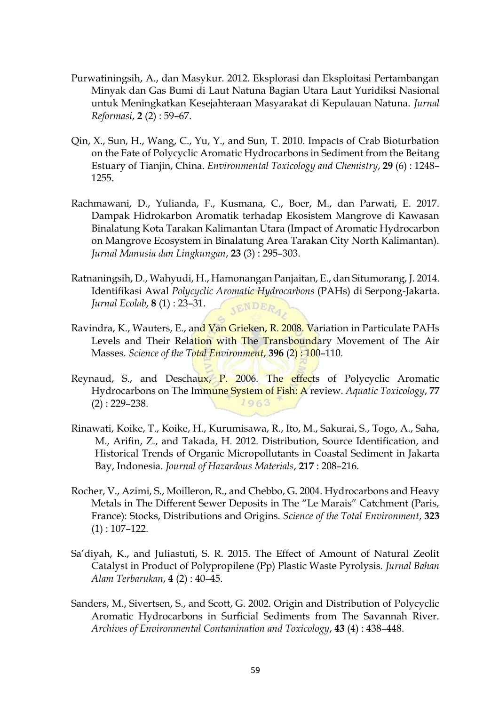- Purwatiningsih, A., dan Masykur. 2012. Eksplorasi dan Eksploitasi Pertambangan Minyak dan Gas Bumi di Laut Natuna Bagian Utara Laut Yuridiksi Nasional untuk Meningkatkan Kesejahteraan Masyarakat di Kepulauan Natuna. *Jurnal Reformasi*, **2** (2) : 59–67.
- Qin, X., Sun, H., Wang, C., Yu, Y., and Sun, T. 2010. Impacts of Crab Bioturbation on the Fate of Polycyclic Aromatic Hydrocarbons in Sediment from the Beitang Estuary of Tianjin, China. *Environmental Toxicology and Chemistry*, **29** (6) : 1248– 1255.
- Rachmawani, D., Yulianda, F., Kusmana, C., Boer, M., dan Parwati, E. 2017. Dampak Hidrokarbon Aromatik terhadap Ekosistem Mangrove di Kawasan Binalatung Kota Tarakan Kalimantan Utara (Impact of Aromatic Hydrocarbon on Mangrove Ecosystem in Binalatung Area Tarakan City North Kalimantan). *Jurnal Manusia dan Lingkungan*, **23** (3) : 295–303.
- Ratnaningsih, D., Wahyudi, H., Hamonangan Panjaitan, E., dan Situmorang, J. 2014. Identifikasi Awal *Polycyclic Aromatic Hydrocarbons* (PAHs) di Serpong-Jakarta. *Jurnal Ecolab*, **8** (1) : 23–31. **JENDERA**
- Ravindra, K., Wauters, E., and Van Grieken, R. 2008. Variation in Particulate PAHs Levels and Their Relation with The Transboundary Movement of The Air Masses. *Science of the Total Environment*, **396** (2) : 100–110.
- Reynaud, S., and Deschaux, P. 2006. The effects of Polycyclic Aromatic Hydrocarbons on The Immune System of Fish: A review. *Aquatic Toxicology*, **77** (2) : 229–238.  $1963$
- Rinawati, Koike, T., Koike, H., Kurumisawa, R., Ito, M., Sakurai, S., Togo, A., Saha, M., Arifin, Z., and Takada, H. 2012. Distribution, Source Identification, and Historical Trends of Organic Micropollutants in Coastal Sediment in Jakarta Bay, Indonesia. *Journal of Hazardous Materials*, **217** : 208–216.
- Rocher, V., Azimi, S., Moilleron, R., and Chebbo, G. 2004. Hydrocarbons and Heavy Metals in The Different Sewer Deposits in The "Le Marais" Catchment (Paris, France): Stocks, Distributions and Origins. *Science of the Total Environment*, **323**   $(1)$ : 107–122.
- Sa'diyah, K., and Juliastuti, S. R. 2015. The Effect of Amount of Natural Zeolit Catalyst in Product of Polypropilene (Pp) Plastic Waste Pyrolysis. *Jurnal Bahan Alam Terbarukan*, **4** (2) : 40–45.
- Sanders, M., Sivertsen, S., and Scott, G. 2002. Origin and Distribution of Polycyclic Aromatic Hydrocarbons in Surficial Sediments from The Savannah River. *Archives of Environmental Contamination and Toxicology*, **43** (4) : 438–448.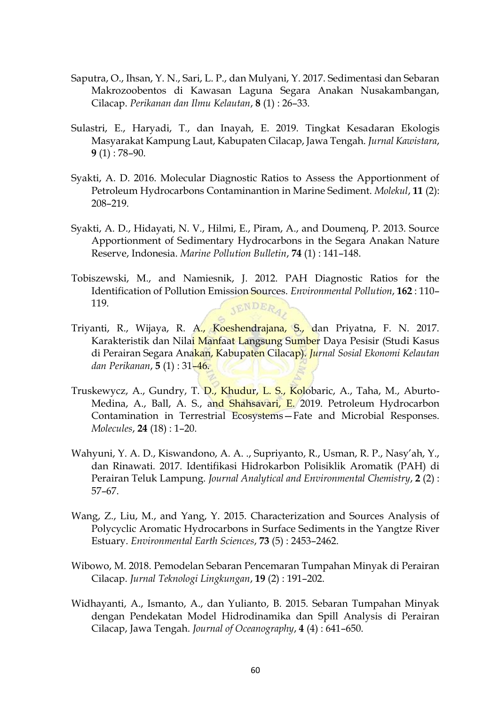- Saputra, O., Ihsan, Y. N., Sari, L. P., dan Mulyani, Y. 2017. Sedimentasi dan Sebaran Makrozoobentos di Kawasan Laguna Segara Anakan Nusakambangan, Cilacap. *Perikanan dan Ilmu Kelautan*, **8** (1) : 26–33.
- Sulastri, E., Haryadi, T., dan Inayah, E. 2019. Tingkat Kesadaran Ekologis Masyarakat Kampung Laut, Kabupaten Cilacap, Jawa Tengah. *Jurnal Kawistara*, **9** (1) : 78–90.
- Syakti, A. D. 2016. Molecular Diagnostic Ratios to Assess the Apportionment of Petroleum Hydrocarbons Contaminantion in Marine Sediment. *Molekul*, **11** (2): 208–219.
- Syakti, A. D., Hidayati, N. V., Hilmi, E., Piram, A., and Doumenq, P. 2013. Source Apportionment of Sedimentary Hydrocarbons in the Segara Anakan Nature Reserve, Indonesia. *Marine Pollution Bulletin*, **74** (1) : 141–148.
- Tobiszewski, M., and Namiesnik, J. 2012. PAH Diagnostic Ratios for the Identification of Pollution Emission Sources. *Environmental Pollution*, **162** : 110– 119. JENDERA,
- Triyanti, R., Wijaya, R. A., Koeshendrajana, S., dan Priyatna, F. N. 2017. Karakteristik dan Nilai Manfaat Langsung Sumber Daya Pesisir (Studi Kasus di Perairan Segara Anakan, Kabupaten Cilacap). *Jurnal Sosial Ekonomi Kelautan dan Perikanan*, **5** (1) : 31–46.
- Truskewycz, A., Gundry, T. D., Khudur, L. S., Kolobaric, A., Taha, M., Aburto-Medina, A., Ball, A. S., and Shahsavari, E. 2019. Petroleum Hydrocarbon Contamination in Terrestrial Ecosystems—Fate and Microbial Responses. *Molecules*, **24** (18) : 1–20.
- Wahyuni, Y. A. D., Kiswandono, A. A. ., Supriyanto, R., Usman, R. P., Nasy'ah, Y., dan Rinawati. 2017. Identifikasi Hidrokarbon Polisiklik Aromatik (PAH) di Perairan Teluk Lampung. *Journal Analytical and Environmental Chemistry*, **2** (2) : 57–67.
- Wang, Z., Liu, M., and Yang, Y. 2015. Characterization and Sources Analysis of Polycyclic Aromatic Hydrocarbons in Surface Sediments in the Yangtze River Estuary. *Environmental Earth Sciences*, **73** (5) : 2453–2462.
- Wibowo, M. 2018. Pemodelan Sebaran Pencemaran Tumpahan Minyak di Perairan Cilacap. *Jurnal Teknologi Lingkungan*, **19** (2) : 191–202.
- Widhayanti, A., Ismanto, A., dan Yulianto, B. 2015. Sebaran Tumpahan Minyak dengan Pendekatan Model Hidrodinamika dan Spill Analysis di Perairan Cilacap, Jawa Tengah. *Journal of Oceanography*, **4** (4) : 641–650.